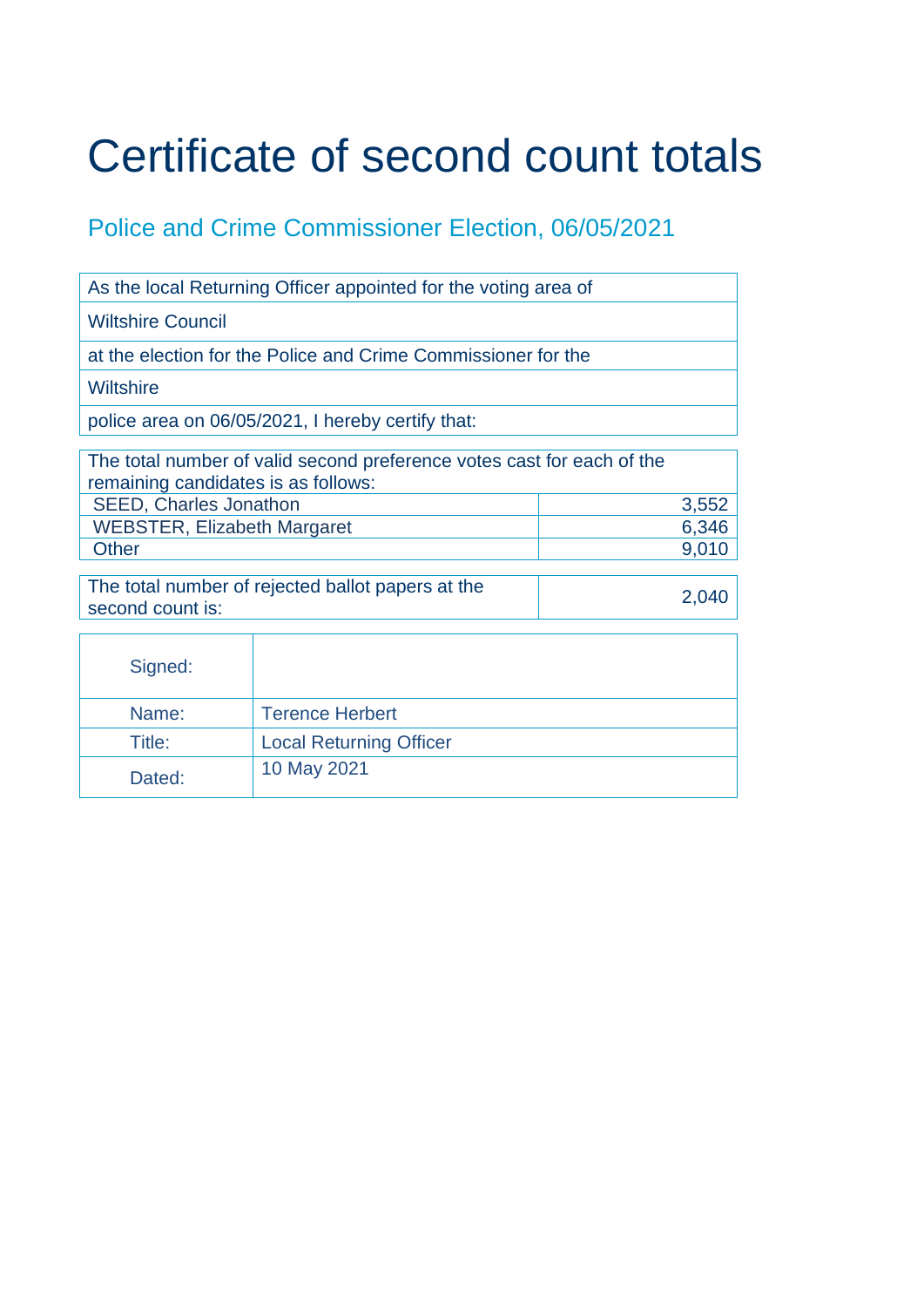## Certificate of second count totals

## Police and Crime Commissioner Election, 06/05/2021

| As the local Returning Officer appointed for the voting area of                                               |                                |  |       |  |
|---------------------------------------------------------------------------------------------------------------|--------------------------------|--|-------|--|
| <b>Wiltshire Council</b>                                                                                      |                                |  |       |  |
| at the election for the Police and Crime Commissioner for the                                                 |                                |  |       |  |
| <b>Wiltshire</b>                                                                                              |                                |  |       |  |
| police area on 06/05/2021, I hereby certify that:                                                             |                                |  |       |  |
| The total number of valid second preference votes cast for each of the<br>remaining candidates is as follows: |                                |  |       |  |
| <b>SEED, Charles Jonathon</b>                                                                                 |                                |  | 3,552 |  |
| <b>WEBSTER, Elizabeth Margaret</b>                                                                            |                                |  | 6,346 |  |
| <b>Other</b>                                                                                                  |                                |  | 9,010 |  |
| The total number of rejected ballot papers at the<br>second count is:                                         |                                |  | 2,040 |  |
| Signed:                                                                                                       |                                |  |       |  |
| Name:                                                                                                         | <b>Terence Herbert</b>         |  |       |  |
| Title:                                                                                                        | <b>Local Returning Officer</b> |  |       |  |
| Dated:                                                                                                        | 10 May 2021                    |  |       |  |